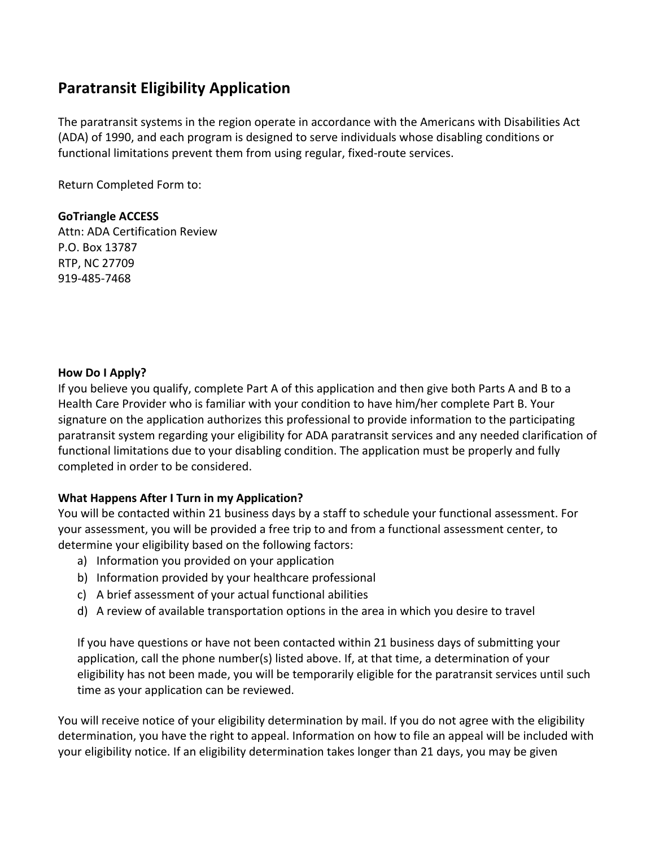## **Paratransit Eligibility Application**

The paratransit systems in the region operate in accordance with the Americans with Disabilities Act (ADA) of 1990, and each program is designed to serve individuals whose disabling conditions or functional limitations prevent them from using regular, fixed-route services.

Return Completed Form to:

#### **GoTriangle ACCESS**

Attn: ADA Certification Review P.O. Box 13787 RTP, NC 27709 919-485-7468

#### **How Do I Apply?**

If you believe you qualify, complete Part A of this application and then give both Parts A and B to a Health Care Provider who is familiar with your condition to have him/her complete Part B. Your signature on the application authorizes this professional to provide information to the participating paratransit system regarding your eligibility for ADA paratransit services and any needed clarification of functional limitations due to your disabling condition. The application must be properly and fully completed in order to be considered.

## **What Happens After I Turn in my Application?**

You will be contacted within 21 business days by a staff to schedule your functional assessment. For your assessment, you will be provided a free trip to and from a functional assessment center, to determine your eligibility based on the following factors:

- a) Information you provided on your application
- b) Information provided by your healthcare professional
- c) A brief assessment of your actual functional abilities
- d) A review of available transportation options in the area in which you desire to travel

If you have questions or have not been contacted within 21 business days of submitting your application, call the phone number(s) listed above. If, at that time, a determination of your eligibility has not been made, you will be temporarily eligible for the paratransit services until such time as your application can be reviewed.

You will receive notice of your eligibility determination by mail. If you do not agree with the eligibility determination, you have the right to appeal. Information on how to file an appeal will be included with your eligibility notice. If an eligibility determination takes longer than 21 days, you may be given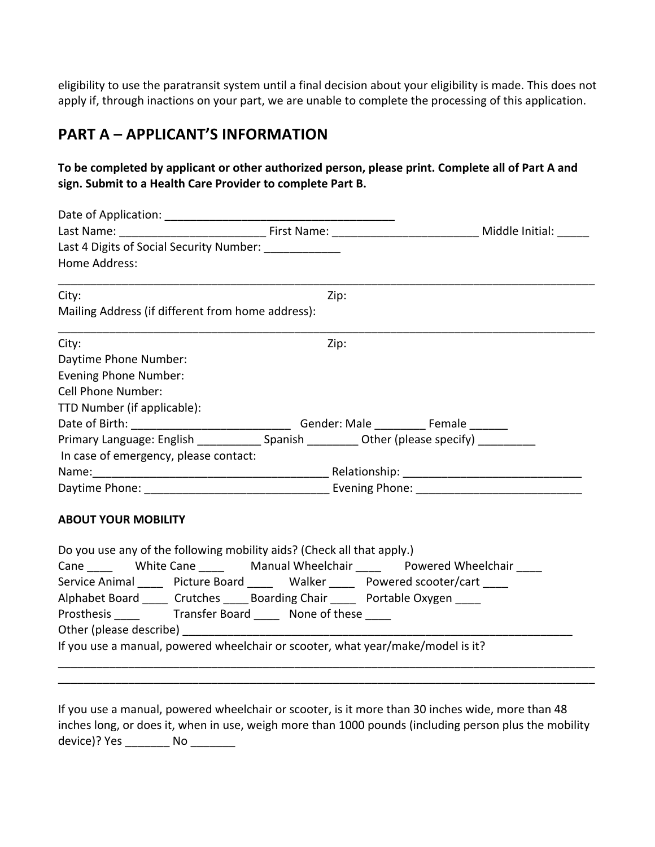eligibility to use the paratransit system until a final decision about your eligibility is made. This does not apply if, through inactions on your part, we are unable to complete the processing of this application.

## **PART A – APPLICANT'S INFORMATION**

## To be completed by applicant or other authorized person, please print. Complete all of Part A and sign. Submit to a Health Care Provider to complete Part B.

| Last 4 Digits of Social Security Number: ____________                                                                                                                                                                          |      |  |
|--------------------------------------------------------------------------------------------------------------------------------------------------------------------------------------------------------------------------------|------|--|
| Home Address:                                                                                                                                                                                                                  |      |  |
| City:                                                                                                                                                                                                                          | Zip: |  |
| Mailing Address (if different from home address):                                                                                                                                                                              |      |  |
| City:                                                                                                                                                                                                                          | Zip: |  |
| Daytime Phone Number:                                                                                                                                                                                                          |      |  |
| <b>Evening Phone Number:</b>                                                                                                                                                                                                   |      |  |
| <b>Cell Phone Number:</b>                                                                                                                                                                                                      |      |  |
| TTD Number (if applicable):                                                                                                                                                                                                    |      |  |
| Date of Birth: ___________________________________Gender: Male ______________Female ________                                                                                                                                   |      |  |
| Primary Language: English _____________ Spanish __________ Other (please specify) __________                                                                                                                                   |      |  |
| In case of emergency, please contact:                                                                                                                                                                                          |      |  |
|                                                                                                                                                                                                                                |      |  |
|                                                                                                                                                                                                                                |      |  |
| <b>ABOUT YOUR MOBILITY</b>                                                                                                                                                                                                     |      |  |
| Do you use any of the following mobility aids? (Check all that apply.)                                                                                                                                                         |      |  |
| Cane Mhite Cane Manual Wheelchair Powered Wheelchair                                                                                                                                                                           |      |  |
| Service Animal ______ Picture Board ______ Walker _____ Powered scooter/cart ____                                                                                                                                              |      |  |
| Alphabet Board ____ Crutches _____ Boarding Chair _____ Portable Oxygen ____                                                                                                                                                   |      |  |
|                                                                                                                                                                                                                                |      |  |
| Other (please describe) example and the contract of the contract of the contract of the contract of the contract of the contract of the contract of the contract of the contract of the contract of the contract of the contra |      |  |
| If you use a manual, powered wheelchair or scooter, what year/make/model is it?                                                                                                                                                |      |  |

If you use a manual, powered wheelchair or scooter, is it more than 30 inches wide, more than 48 inches long, or does it, when in use, weigh more than 1000 pounds (including person plus the mobility device)? Yes \_\_\_\_\_\_\_\_ No \_\_\_\_\_\_\_

\_\_\_\_\_\_\_\_\_\_\_\_\_\_\_\_\_\_\_\_\_\_\_\_\_\_\_\_\_\_\_\_\_\_\_\_\_\_\_\_\_\_\_\_\_\_\_\_\_\_\_\_\_\_\_\_\_\_\_\_\_\_\_\_\_\_\_\_\_\_\_\_\_\_\_\_\_\_\_\_\_\_\_\_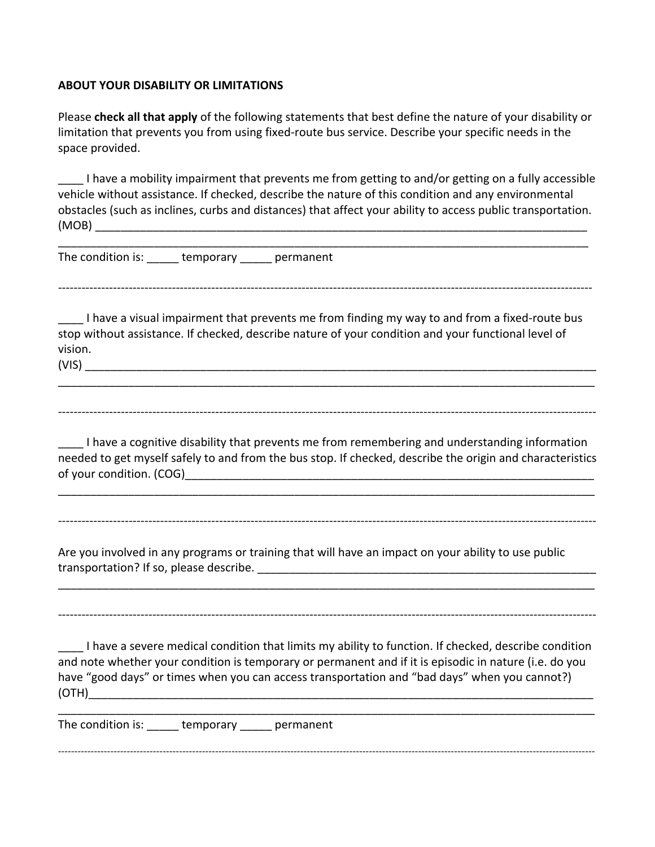#### **ABOUT YOUR DISABILITY OR LIMITATIONS**

Please **check all that apply** of the following statements that best define the nature of your disability or limitation that prevents you from using fixed-route bus service. Describe your specific needs in the space provided.

I have a mobility impairment that prevents me from getting to and/or getting on a fully accessible vehicle without assistance. If checked, describe the nature of this condition and any environmental obstacles (such as inclines, curbs and distances) that affect your ability to access public transportation.  $(MOB)$ 

\_\_\_\_\_\_\_\_\_\_\_\_\_\_\_\_\_\_\_\_\_\_\_\_\_\_\_\_\_\_\_\_\_\_\_\_\_\_\_\_\_\_\_\_\_\_\_\_\_\_\_\_\_\_\_\_\_\_\_\_\_\_\_\_\_\_\_\_\_\_\_\_\_\_\_\_\_\_\_\_\_\_\_ 

----------------------------------------------------------------------------------------------------------------------------------------

The condition is: Lemporary bermanent

I have a visual impairment that prevents me from finding my way to and from a fixed-route bus stop without assistance. If checked, describe nature of your condition and your functional level of vision.  $(VIS)$ 

-----------------------------------------------------------------------------------------------------------------------------------------

\_\_\_\_\_\_\_\_\_\_\_\_\_\_\_\_\_\_\_\_\_\_\_\_\_\_\_\_\_\_\_\_\_\_\_\_\_\_\_\_\_\_\_\_\_\_\_\_\_\_\_\_\_\_\_\_\_\_\_\_\_\_\_\_\_\_\_\_\_\_\_\_\_\_\_\_\_\_\_\_\_\_\_\_

I have a cognitive disability that prevents me from remembering and understanding information needed to get myself safely to and from the bus stop. If checked, describe the origin and characteristics of your condition. (COG) and the set of your condition. (COG)

\_\_\_\_\_\_\_\_\_\_\_\_\_\_\_\_\_\_\_\_\_\_\_\_\_\_\_\_\_\_\_\_\_\_\_\_\_\_\_\_\_\_\_\_\_\_\_\_\_\_\_\_\_\_\_\_\_\_\_\_\_\_\_\_\_\_\_\_\_\_\_\_\_\_\_\_\_\_\_\_\_\_\_\_

-----------------------------------------------------------------------------------------------------------------------------------------

\_\_\_\_\_\_\_\_\_\_\_\_\_\_\_\_\_\_\_\_\_\_\_\_\_\_\_\_\_\_\_\_\_\_\_\_\_\_\_\_\_\_\_\_\_\_\_\_\_\_\_\_\_\_\_\_\_\_\_\_\_\_\_\_\_\_\_\_\_\_\_\_\_\_\_\_\_\_\_\_\_\_\_\_

-----------------------------------------------------------------------------------------------------------------------------------------

Are you involved in any programs or training that will have an impact on your ability to use public transportation? If so, please describe. \_\_\_\_\_\_\_\_\_\_\_\_\_\_\_\_\_\_\_\_\_\_\_\_\_\_\_\_\_\_\_\_\_\_\_\_\_\_\_\_\_\_\_\_\_\_\_\_\_\_\_\_\_ 

 $\Box$  I have a severe medical condition that limits my ability to function. If checked, describe condition and note whether your condition is temporary or permanent and if it is episodic in nature (i.e. do you have "good days" or times when you can access transportation and "bad days" when you cannot?) (OTH)\_\_\_\_\_\_\_\_\_\_\_\_\_\_\_\_\_\_\_\_\_\_\_\_\_\_\_\_\_\_\_\_\_\_\_\_\_\_\_\_\_\_\_\_\_\_\_\_\_\_\_\_\_\_\_\_\_\_\_\_\_\_\_\_\_\_\_\_\_\_\_\_\_\_\_\_\_\_\_

The condition is: Lemporary bermanent

--------------------------------------------------------------------------------------------------------------------------------------------------------------------

\_\_\_\_\_\_\_\_\_\_\_\_\_\_\_\_\_\_\_\_\_\_\_\_\_\_\_\_\_\_\_\_\_\_\_\_\_\_\_\_\_\_\_\_\_\_\_\_\_\_\_\_\_\_\_\_\_\_\_\_\_\_\_\_\_\_\_\_\_\_\_\_\_\_\_\_\_\_\_\_\_\_\_\_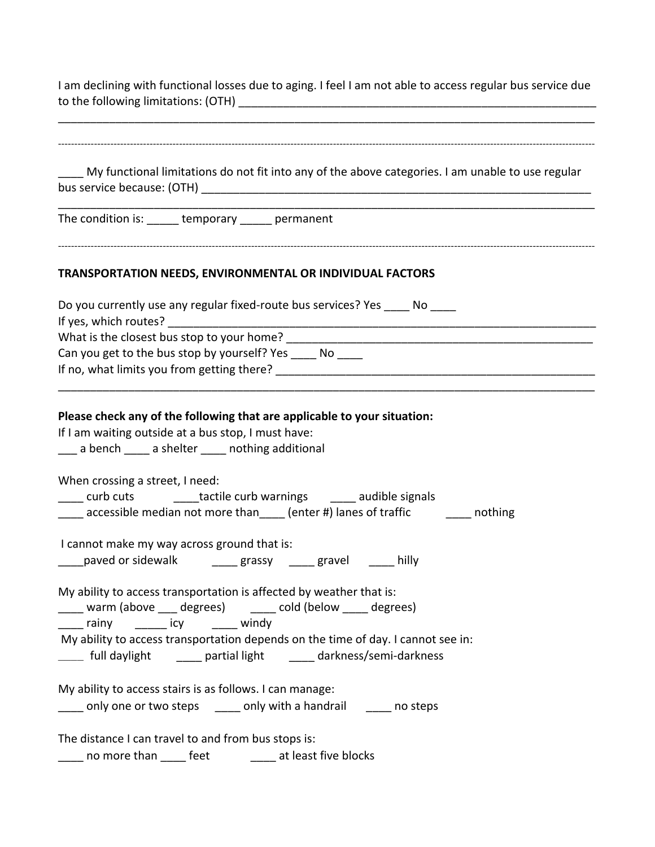I am declining with functional losses due to aging. I feel I am not able to access regular bus service due to the following limitations: (OTH) \_\_\_\_\_\_\_\_\_\_\_\_\_\_\_\_\_\_\_\_\_\_\_\_\_\_\_\_\_\_\_\_\_\_\_\_\_\_\_\_\_\_\_\_\_\_\_\_\_\_\_\_\_\_\_\_ 

| My functional limitations do not fit into any of the above categories. I am unable to use regular                                                                                              |  |  |
|------------------------------------------------------------------------------------------------------------------------------------------------------------------------------------------------|--|--|
|                                                                                                                                                                                                |  |  |
| The condition is: ______ temporary ______ permanent                                                                                                                                            |  |  |
| TRANSPORTATION NEEDS, ENVIRONMENTAL OR INDIVIDUAL FACTORS                                                                                                                                      |  |  |
| Do you currently use any regular fixed-route bus services? Yes _____ No ____                                                                                                                   |  |  |
|                                                                                                                                                                                                |  |  |
| Can you get to the bus stop by yourself? Yes _____ No ____                                                                                                                                     |  |  |
|                                                                                                                                                                                                |  |  |
| Please check any of the following that are applicable to your situation:<br>If I am waiting outside at a bus stop, I must have:<br>__ a bench ____ a shelter ____ nothing additional           |  |  |
| When crossing a street, I need:                                                                                                                                                                |  |  |
| ____ curb cuts ________tactile curb warnings ______ audible signals                                                                                                                            |  |  |
| ____ accessible median not more than____ (enter #) lanes of traffic ________ nothing                                                                                                           |  |  |
| I cannot make my way across ground that is:<br>____paved or sidewalk ______ grassy _____ gravel _____ hilly                                                                                    |  |  |
| My ability to access transportation is affected by weather that is:<br>_____ rainy ______ icy ______ windy<br>My ability to access transportation depends on the time of day. I cannot see in: |  |  |
|                                                                                                                                                                                                |  |  |
| My ability to access stairs is as follows. I can manage:<br>____ only one or two steps _____ only with a handrail _____ no steps                                                               |  |  |
| The distance I can travel to and from bus stops is:                                                                                                                                            |  |  |
| _____ no more than _____ feet ____ _____ at least five blocks                                                                                                                                  |  |  |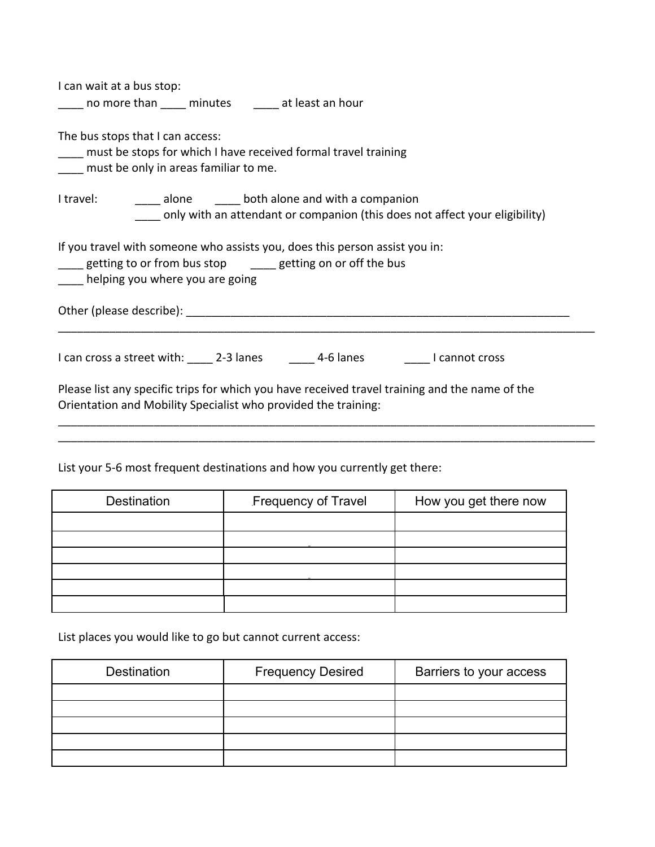| I can wait at a bus stop:<br>_____ no more than _____ minutes ______ at least an hour                                                                                                                                          |
|--------------------------------------------------------------------------------------------------------------------------------------------------------------------------------------------------------------------------------|
| The bus stops that I can access:<br>must be stops for which I have received formal travel training<br>must be only in areas familiar to me.                                                                                    |
| I travel: ________ alone _______ both alone and with a companion<br>only with an attendant or companion (this does not affect your eligibility)                                                                                |
| If you travel with someone who assists you, does this person assist you in:<br>____ getting to or from bus stop _____ getting on or off the bus<br>helping you where you are going                                             |
| Other (please describe): example and a series of the series of the series of the series of the series of the series of the series of the series of the series of the series of the series of the series of the series of the s |
| I can cross a street with: 23 anes 100 and 4-6 lanes 100 annot cross                                                                                                                                                           |
| Please list any specific trips for which you have received travel training and the name of the<br>Orientation and Mobility Specialist who provided the training:                                                               |
|                                                                                                                                                                                                                                |

List your 5-6 most frequent destinations and how you currently get there:

| Destination | Frequency of Travel | How you get there now |
|-------------|---------------------|-----------------------|
|             |                     |                       |
|             |                     |                       |
|             |                     |                       |
|             |                     |                       |
|             |                     |                       |
|             |                     |                       |

List places you would like to go but cannot current access:

| <b>Destination</b> | <b>Frequency Desired</b> | Barriers to your access |
|--------------------|--------------------------|-------------------------|
|                    |                          |                         |
|                    |                          |                         |
|                    |                          |                         |
|                    |                          |                         |
|                    |                          |                         |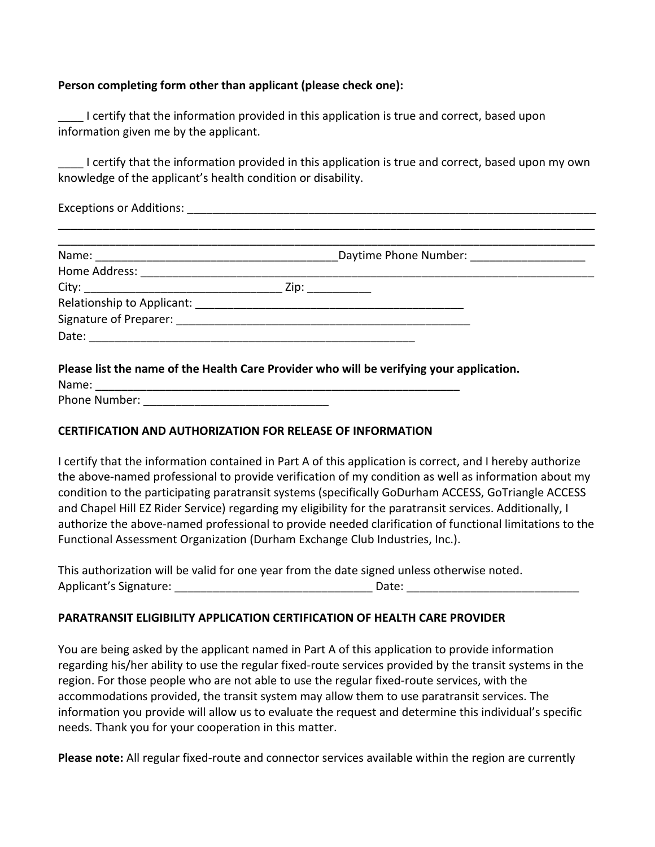#### **Person completing form other than applicant (please check one):**

**The Latter Contrify** that the information provided in this application is true and correct, based upon information given me by the applicant.

I certify that the information provided in this application is true and correct, based upon my own knowledge of the applicant's health condition or disability.

Exceptions or Additions: **Exceptions** or Additions:

| Daytime Phone Number: ____________________ |  |
|--------------------------------------------|--|
|                                            |  |
|                                            |  |
|                                            |  |
|                                            |  |
|                                            |  |

**Please list the name of the Health Care Provider who will be verifying your application.** 

Name: \_\_\_\_\_\_\_\_\_\_\_\_\_\_\_\_\_\_\_\_\_\_\_\_\_\_\_\_\_\_\_\_\_\_\_\_\_\_\_\_\_\_\_\_\_\_\_\_\_\_\_\_\_\_\_\_\_ Phone Number:  $\Box$ 

#### **CERTIFICATION AND AUTHORIZATION FOR RELEASE OF INFORMATION**

I certify that the information contained in Part A of this application is correct, and I hereby authorize the above-named professional to provide verification of my condition as well as information about my condition to the participating paratransit systems (specifically GoDurham ACCESS, GoTriangle ACCESS and Chapel Hill EZ Rider Service) regarding my eligibility for the paratransit services. Additionally, I authorize the above-named professional to provide needed clarification of functional limitations to the Functional Assessment Organization (Durham Exchange Club Industries, Inc.).

This authorization will be valid for one year from the date signed unless otherwise noted. Applicant's Signature: \_\_\_\_\_\_\_\_\_\_\_\_\_\_\_\_\_\_\_\_\_\_\_\_\_\_\_\_\_\_\_ Date: \_\_\_\_\_\_\_\_\_\_\_\_\_\_\_\_\_\_\_\_\_\_\_\_\_\_\_ 

## **PARATRANSIT ELIGIBILITY APPLICATION CERTIFICATION OF HEALTH CARE PROVIDER**

You are being asked by the applicant named in Part A of this application to provide information regarding his/her ability to use the regular fixed-route services provided by the transit systems in the region. For those people who are not able to use the regular fixed-route services, with the accommodations provided, the transit system may allow them to use paratransit services. The information you provide will allow us to evaluate the request and determine this individual's specific needs. Thank you for your cooperation in this matter.

Please note: All regular fixed-route and connector services available within the region are currently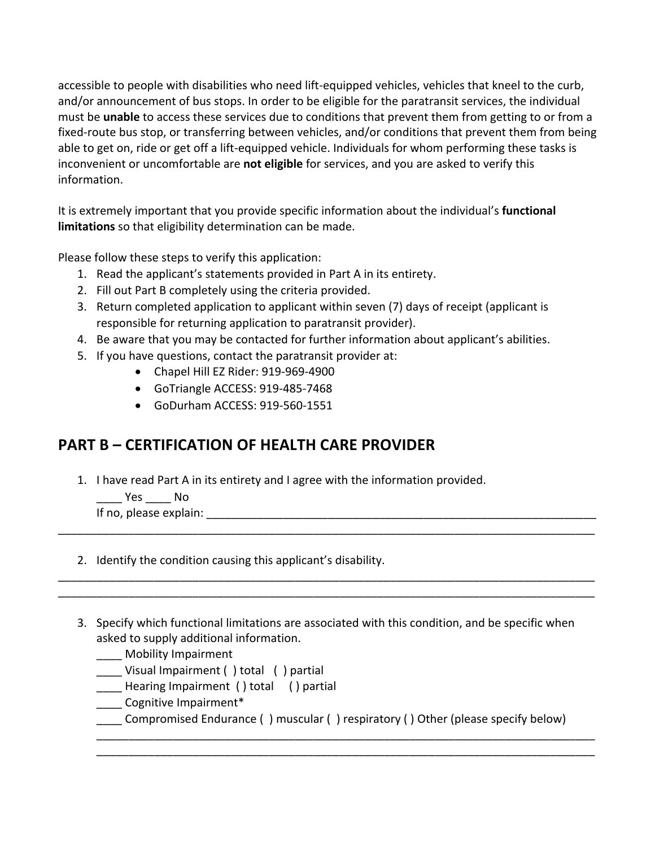accessible to people with disabilities who need lift-equipped vehicles, vehicles that kneel to the curb, and/or announcement of bus stops. In order to be eligible for the paratransit services, the individual must be unable to access these services due to conditions that prevent them from getting to or from a fixed-route bus stop, or transferring between vehicles, and/or conditions that prevent them from being able to get on, ride or get off a lift-equipped vehicle. Individuals for whom performing these tasks is inconvenient or uncomfortable are **not eligible** for services, and you are asked to verify this information. 

It is extremely important that you provide specific information about the individual's **functional limitations** so that eligibility determination can be made.

Please follow these steps to verify this application:

- 1. Read the applicant's statements provided in Part A in its entirety.
- 2. Fill out Part B completely using the criteria provided.
- 3. Return completed application to applicant within seven (7) days of receipt (applicant is responsible for returning application to paratransit provider).
- 4. Be aware that you may be contacted for further information about applicant's abilities.
- 5. If you have questions, contact the paratransit provider at:
	- Chapel Hill EZ Rider: 919-969-4900
	- GoTriangle ACCESS: 919-485-7468
	- GoDurham ACCESS: 919-560-1551

# **PART B – CERTIFICATION OF HEALTH CARE PROVIDER**

1. I have read Part A in its entirety and I agree with the information provided.

\_\_\_\_\_ Yes \_\_\_\_\_ No

If no, please explain: \_\_\_\_\_\_\_\_\_\_\_\_\_\_\_\_\_\_\_\_\_\_\_\_\_\_\_\_\_\_\_\_\_\_\_\_\_\_\_\_\_\_\_\_\_\_\_\_\_\_\_\_\_\_\_\_\_\_\_\_\_ 

2. Identify the condition causing this applicant's disability.

3. Specify which functional limitations are associated with this condition, and be specific when asked to supply additional information.

\_\_\_\_\_\_\_\_\_\_\_\_\_\_\_\_\_\_\_\_\_\_\_\_\_\_\_\_\_\_\_\_\_\_\_\_\_\_\_\_\_\_\_\_\_\_\_\_\_\_\_\_\_\_\_\_\_\_\_\_\_\_\_\_\_\_\_\_\_\_\_\_\_\_\_\_\_\_\_\_\_\_\_\_ 

\_\_\_\_\_\_\_\_\_\_\_\_\_\_\_\_\_\_\_\_\_\_\_\_\_\_\_\_\_\_\_\_\_\_\_\_\_\_\_\_\_\_\_\_\_\_\_\_\_\_\_\_\_\_\_\_\_\_\_\_\_\_\_\_\_\_\_\_\_\_\_\_\_\_\_\_\_\_\_\_\_\_\_\_ \_\_\_\_\_\_\_\_\_\_\_\_\_\_\_\_\_\_\_\_\_\_\_\_\_\_\_\_\_\_\_\_\_\_\_\_\_\_\_\_\_\_\_\_\_\_\_\_\_\_\_\_\_\_\_\_\_\_\_\_\_\_\_\_\_\_\_\_\_\_\_\_\_\_\_\_\_\_\_\_\_\_\_\_ 

- \_\_\_\_ Mobility Impairment
- \_\_\_\_ Visual Impairment () total () partial
- \_\_\_\_ Hearing Impairment () total () partial
- \_\_\_\_ Cognitive Impairment\*
- Compromised Endurance ( ) muscular ( ) respiratory ( ) Other (please specify below)

\_\_\_\_\_\_\_\_\_\_\_\_\_\_\_\_\_\_\_\_\_\_\_\_\_\_\_\_\_\_\_\_\_\_\_\_\_\_\_\_\_\_\_\_\_\_\_\_\_\_\_\_\_\_\_\_\_\_\_\_\_\_\_\_\_\_\_\_\_\_\_\_\_\_\_\_\_\_ \_\_\_\_\_\_\_\_\_\_\_\_\_\_\_\_\_\_\_\_\_\_\_\_\_\_\_\_\_\_\_\_\_\_\_\_\_\_\_\_\_\_\_\_\_\_\_\_\_\_\_\_\_\_\_\_\_\_\_\_\_\_\_\_\_\_\_\_\_\_\_\_\_\_\_\_\_\_